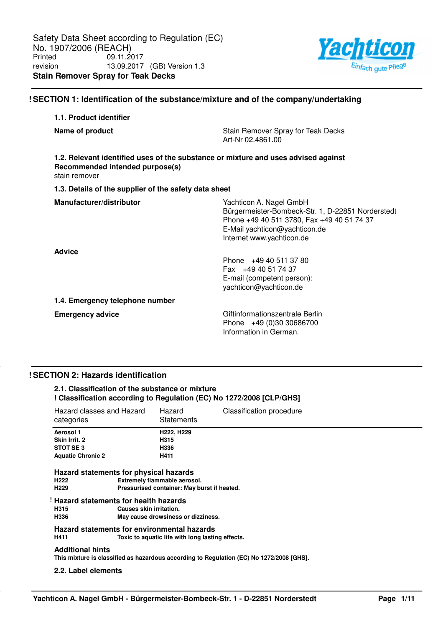

# **! SECTION 1: Identification of the substance/mixture and of the company/undertaking**

| 1.1. Product identifier                                                                                                                |                                                                                                                                                                                          |
|----------------------------------------------------------------------------------------------------------------------------------------|------------------------------------------------------------------------------------------------------------------------------------------------------------------------------------------|
| Name of product                                                                                                                        | Stain Remover Spray for Teak Decks<br>Art-Nr 02.4861.00                                                                                                                                  |
| 1.2. Relevant identified uses of the substance or mixture and uses advised against<br>Recommended intended purpose(s)<br>stain remover |                                                                                                                                                                                          |
| 1.3. Details of the supplier of the safety data sheet                                                                                  |                                                                                                                                                                                          |
| Manufacturer/distributor                                                                                                               | Yachticon A. Nagel GmbH<br>Bürgermeister-Bombeck-Str. 1, D-22851 Norderstedt<br>Phone +49 40 511 3780, Fax +49 40 51 74 37<br>E-Mail yachticon@yachticon.de<br>Internet www.yachticon.de |
| <b>Advice</b>                                                                                                                          | Phone +49 40 511 37 80<br>Fax +49 40 51 74 37<br>E-mail (competent person):<br>yachticon@yachticon.de                                                                                    |
| 1.4. Emergency telephone number                                                                                                        |                                                                                                                                                                                          |
| <b>Emergency advice</b>                                                                                                                | Giftinformationszentrale Berlin<br>Phone +49 (0)30 30686700<br>Information in German.                                                                                                    |

### **! SECTION 2: Hazards identification**

### **2.1. Classification of the substance or mixture ! Classification according to Regulation (EC) No 1272/2008 [CLP/GHS]**

| Hazard classes and Hazard<br>categories                                                                                                  | Hazard<br><b>Statements</b>                                                                                                                  | <b>Classification procedure</b>                                                          |
|------------------------------------------------------------------------------------------------------------------------------------------|----------------------------------------------------------------------------------------------------------------------------------------------|------------------------------------------------------------------------------------------|
| Aerosol 1                                                                                                                                | H222, H229                                                                                                                                   |                                                                                          |
| Skin Irrit. 2                                                                                                                            | H315                                                                                                                                         |                                                                                          |
| STOT SE3                                                                                                                                 | H336                                                                                                                                         |                                                                                          |
| <b>Aquatic Chronic 2</b>                                                                                                                 | H411                                                                                                                                         |                                                                                          |
| Hazard statements for physical hazards<br>H <sub>222</sub><br>H <sub>229</sub><br>! Hazard statements for health hazards<br>H315<br>H336 | Extremely flammable aerosol.<br>Pressurised container: May burst if heated.<br>Causes skin irritation.<br>May cause drowsiness or dizziness. |                                                                                          |
|                                                                                                                                          | Hazard statements for environmental hazards                                                                                                  |                                                                                          |
| H411                                                                                                                                     | Toxic to aquatic life with long lasting effects.                                                                                             |                                                                                          |
| <b>Additional hints</b>                                                                                                                  |                                                                                                                                              | This mixture is classified as hazardous according to Regulation (EC) No 1272/2008 [GHS]. |
| 2.2. Label elements                                                                                                                      |                                                                                                                                              |                                                                                          |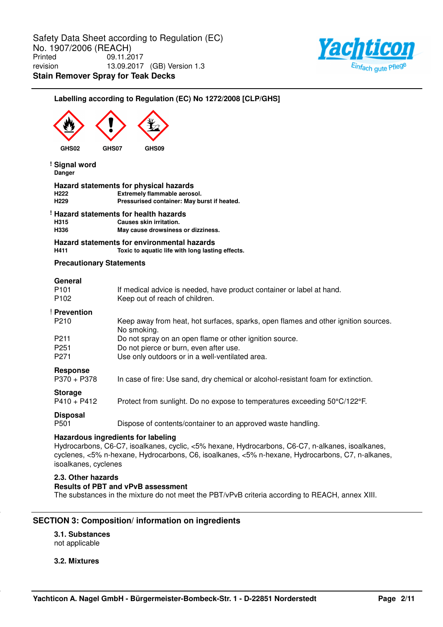

# **Labelling according to Regulation (EC) No 1272/2008 [CLP/GHS]**

| GHS02                                           | GHS07<br>GHS09                                                                                                                                                                                                                             |
|-------------------------------------------------|--------------------------------------------------------------------------------------------------------------------------------------------------------------------------------------------------------------------------------------------|
| ! Signal word<br><b>Danger</b>                  |                                                                                                                                                                                                                                            |
| H <sub>222</sub><br>H <sub>229</sub>            | Hazard statements for physical hazards<br>Extremely flammable aerosol.<br>Pressurised container: May burst if heated.                                                                                                                      |
| H <sub>315</sub><br>H336                        | Hazard statements for health hazards<br>Causes skin irritation.<br>May cause drowsiness or dizziness.                                                                                                                                      |
| H411                                            | Hazard statements for environmental hazards<br>Toxic to aquatic life with long lasting effects.                                                                                                                                            |
| <b>Precautionary Statements</b>                 |                                                                                                                                                                                                                                            |
| General<br>P <sub>101</sub><br>P <sub>102</sub> | If medical advice is needed, have product container or label at hand.<br>Keep out of reach of children.                                                                                                                                    |
| ! Prevention                                    |                                                                                                                                                                                                                                            |
| P <sub>210</sub>                                | Keep away from heat, hot surfaces, sparks, open flames and other ignition sources.<br>No smoking.                                                                                                                                          |
| P211                                            | Do not spray on an open flame or other ignition source.                                                                                                                                                                                    |
| P <sub>251</sub><br>P <sub>271</sub>            | Do not pierce or burn, even after use.<br>Use only outdoors or in a well-ventilated area.                                                                                                                                                  |
| <b>Response</b><br>$P370 + P378$                | In case of fire: Use sand, dry chemical or alcohol-resistant foam for extinction.                                                                                                                                                          |
| <b>Storage</b><br>$P410 + P412$                 | Protect from sunlight. Do no expose to temperatures exceeding 50°C/122°F.                                                                                                                                                                  |
| <b>Disposal</b><br>P501                         | Dispose of contents/container to an approved waste handling.                                                                                                                                                                               |
| isoalkanes, cyclenes                            | Hazardous ingredients for labeling<br>Hydrocarbons, C6-C7, isoalkanes, cyclic, <5% hexane, Hydrocarbons, C6-C7, n-alkanes, isoalkanes,<br>cyclenes, <5% n-hexane, Hydrocarbons, C6, isoalkanes, <5% n-hexane, Hydrocarbons, C7, n-alkanes, |
|                                                 |                                                                                                                                                                                                                                            |

### **2.3. Other hazards**

# **Results of PBT and vPvB assessment**

The substances in the mixture do not meet the PBT/vPvB criteria according to REACH, annex XIII.

### **SECTION 3: Composition/ information on ingredients**

**3.1. Substances** not applicable

**3.2. Mixtures**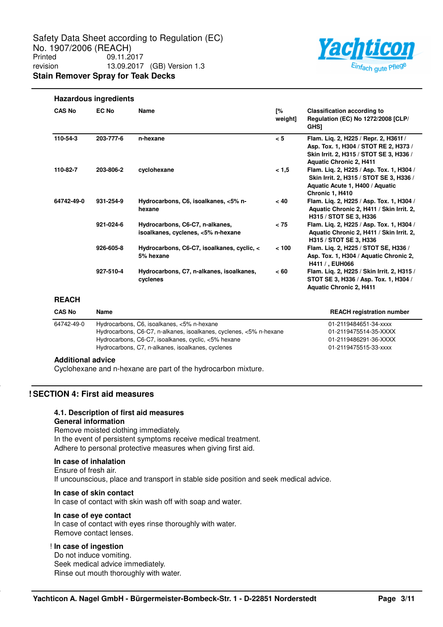

## **Hazardous ingredients**

| <b>CAS No</b> | <b>EC No</b> | <b>Name</b>                                                                                                                                                                                                                  | Г%<br>weight] | <b>Classification according to</b><br>Regulation (EC) No 1272/2008 [CLP/<br><b>GHS1</b>                                                                     |
|---------------|--------------|------------------------------------------------------------------------------------------------------------------------------------------------------------------------------------------------------------------------------|---------------|-------------------------------------------------------------------------------------------------------------------------------------------------------------|
| 110-54-3      | 203-777-6    | n-hexane                                                                                                                                                                                                                     | < 5           | Flam. Liq. 2, H225 / Repr. 2, H361f /<br>Asp. Tox. 1, H304 / STOT RE 2, H373 /<br>Skin Irrit. 2, H315 / STOT SE 3, H336 /<br><b>Aquatic Chronic 2, H411</b> |
| 110-82-7      | 203-806-2    | cyclohexane                                                                                                                                                                                                                  | < 1,5         | Flam. Liq. 2, H225 / Asp. Tox. 1, H304 /<br>Skin Irrit. 2, H315 / STOT SE 3, H336 /<br>Aquatic Acute 1, H400 / Aquatic<br>Chronic 1, H410                   |
| 64742-49-0    | 931-254-9    | Hydrocarbons, C6, isoalkanes, <5% n-<br>hexane                                                                                                                                                                               | $~<$ 40       | Flam. Lig. 2, H225 / Asp. Tox. 1, H304 /<br>Aquatic Chronic 2, H411 / Skin Irrit. 2,<br>H315 / STOT SE 3, H336                                              |
|               | 921-024-6    | Hydrocarbons, C6-C7, n-alkanes,<br>isoalkanes, cyclenes, <5% n-hexane                                                                                                                                                        | < 75          | Flam. Lig. 2, H225 / Asp. Tox. 1, H304 /<br>Aquatic Chronic 2, H411 / Skin Irrit. 2,<br>H315 / STOT SE 3, H336                                              |
|               | 926-605-8    | Hydrocarbons, C6-C7, isoalkanes, cyclic, <<br>5% hexane                                                                                                                                                                      | < 100         | Flam. Lig. 2, H225 / STOT SE, H336 /<br>Asp. Tox. 1, H304 / Aquatic Chronic 2,<br>H411 / , EUH066                                                           |
|               | 927-510-4    | Hydrocarbons, C7, n-alkanes, isoalkanes,<br>cyclenes                                                                                                                                                                         | < 60          | Flam. Lig. 2, H225 / Skin Irrit. 2, H315 /<br>STOT SE 3, H336 / Asp. Tox. 1, H304 /<br><b>Aquatic Chronic 2, H411</b>                                       |
| <b>REACH</b>  |              |                                                                                                                                                                                                                              |               |                                                                                                                                                             |
| <b>CAS No</b> | <b>Name</b>  |                                                                                                                                                                                                                              |               | <b>REACH registration number</b>                                                                                                                            |
| 64742-49-0    |              | Hydrocarbons, C6, isoalkanes, <5% n-hexane<br>Hydrocarbons, C6-C7, n-alkanes, isoalkanes, cyclenes, <5% n-hexane<br>Hydrocarbons, C6-C7, isoalkanes, cyclic, <5% hexane<br>Hydrocarbons, C7, n-alkanes, isoalkanes, cyclenes |               | 01-2119484651-34-xxxx<br>01-2119475514-35-XXXX<br>01-2119486291-36-XXXX<br>01-2119475515-33-xxxx                                                            |

**Additional advice**

Cyclohexane and n-hexane are part of the hydrocarbon mixture.

### **! SECTION 4: First aid measures**

#### **4.1. Description of first aid measures General information**

Remove moisted clothing immediately. In the event of persistent symptoms receive medical treatment. Adhere to personal protective measures when giving first aid.

#### **In case of inhalation**

Ensure of fresh air. If uncounscious, place and transport in stable side position and seek medical advice.

### **In case of skin contact**

In case of contact with skin wash off with soap and water.

#### **In case of eye contact**

In case of contact with eyes rinse thoroughly with water. Remove contact lenses.

#### ! **In case of ingestion**

Do not induce vomiting. Seek medical advice immediately. Rinse out mouth thoroughly with water.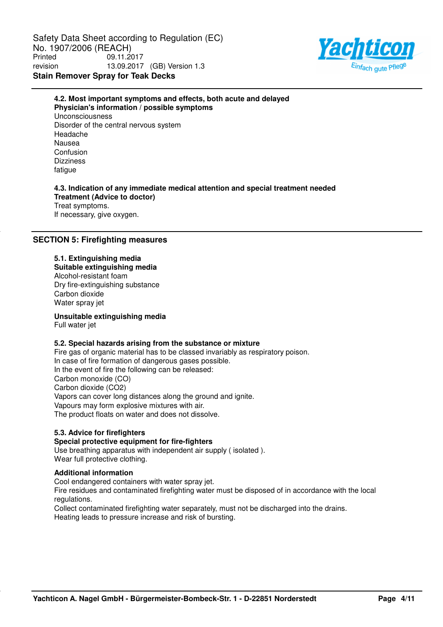Safety Data Sheet according to Regulation (EC) No. 1907/2006 (REACH)<br>Printed 09.11.20 Printed 09.11.2017 revision 13.09.2017 (GB) Version 1.3 **Stain Remover Spray for Teak Decks**



# **Physician's information / possible symptoms** Unconsciousness Disorder of the central nervous system Headache Nausea Confusion **Dizziness** fatigue **4.3. Indication of any immediate medical attention and special treatment needed Treatment (Advice to doctor)**

**4.2. Most important symptoms and effects, both acute and delayed**

Treat symptoms. If necessary, give oxygen.

# **SECTION 5: Firefighting measures**

# **5.1. Extinguishing media**

**Suitable extinguishing media** Alcohol-resistant foam Dry fire-extinguishing substance Carbon dioxide Water spray jet

## **Unsuitable extinguishing media**

Full water jet

## **5.2. Special hazards arising from the substance or mixture**

Fire gas of organic material has to be classed invariably as respiratory poison. In case of fire formation of dangerous gases possible. In the event of fire the following can be released: Carbon monoxide (CO) Carbon dioxide (CO2) Vapors can cover long distances along the ground and ignite. Vapours may form explosive mixtures with air. The product floats on water and does not dissolve.

## **5.3. Advice for firefighters**

## **Special protective equipment for fire-fighters**

Use breathing apparatus with independent air supply ( isolated ). Wear full protective clothing.

## **Additional information**

Cool endangered containers with water spray jet.

Fire residues and contaminated firefighting water must be disposed of in accordance with the local regulations.

Collect contaminated firefighting water separately, must not be discharged into the drains. Heating leads to pressure increase and risk of bursting.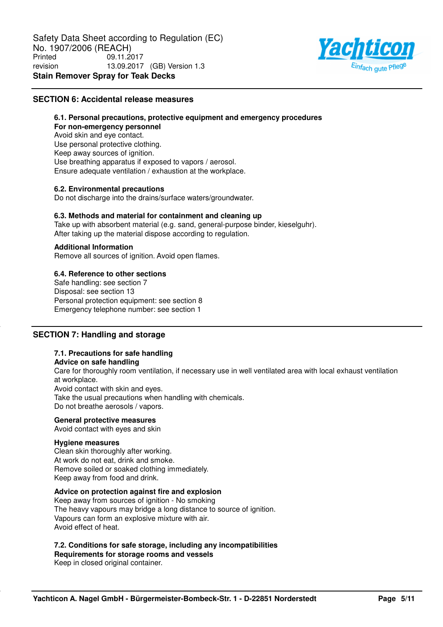

### **SECTION 6: Accidental release measures**

**6.1. Personal precautions, protective equipment and emergency procedures For non-emergency personnel** Avoid skin and eye contact. Use personal protective clothing. Keep away sources of ignition. Use breathing apparatus if exposed to vapors / aerosol. Ensure adequate ventilation / exhaustion at the workplace.

### **6.2. Environmental precautions**

Do not discharge into the drains/surface waters/groundwater.

### **6.3. Methods and material for containment and cleaning up**

Take up with absorbent material (e.g. sand, general-purpose binder, kieselguhr). After taking up the material dispose according to regulation.

## **Additional Information**

Remove all sources of ignition. Avoid open flames.

## **6.4. Reference to other sections**

Safe handling: see section 7 Disposal: see section 13 Personal protection equipment: see section 8 Emergency telephone number: see section 1

## **SECTION 7: Handling and storage**

## **7.1. Precautions for safe handling**

### **Advice on safe handling**

Care for thoroughly room ventilation, if necessary use in well ventilated area with local exhaust ventilation at workplace. Avoid contact with skin and eyes.

Take the usual precautions when handling with chemicals. Do not breathe aerosols / vapors.

### **General protective measures**

Avoid contact with eyes and skin

### **Hygiene measures**

Clean skin thoroughly after working. At work do not eat, drink and smoke. Remove soiled or soaked clothing immediately. Keep away from food and drink.

### **Advice on protection against fire and explosion**

Keep away from sources of ignition - No smoking The heavy vapours may bridge a long distance to source of ignition. Vapours can form an explosive mixture with air. Avoid effect of heat.

# **7.2. Conditions for safe storage, including any incompatibilities**

**Requirements for storage rooms and vessels**

Keep in closed original container.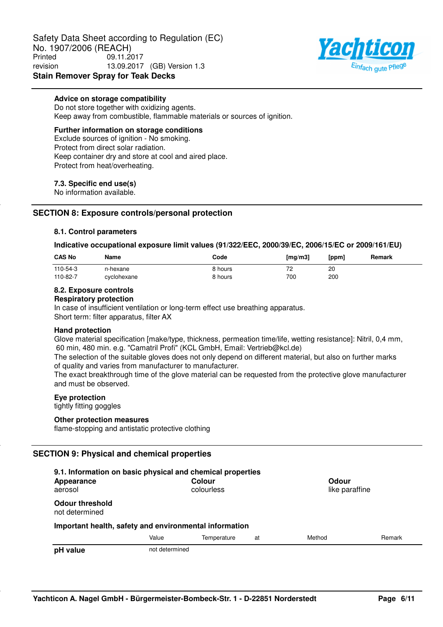Safety Data Sheet according to Regulation (EC) No. 1907/2006 (REACH)<br>Printed 09.11.20 Printed 09.11.2017 revision 13.09.2017 (GB) Version 1.3 **Stain Remover Spray for Teak Decks**



### **Advice on storage compatibility**

Do not store together with oxidizing agents. Keep away from combustible, flammable materials or sources of ignition.

### **Further information on storage conditions**

Exclude sources of ignition - No smoking. Protect from direct solar radiation. Keep container dry and store at cool and aired place. Protect from heat/overheating.

### **7.3. Specific end use(s)**

No information available.

## **SECTION 8: Exposure controls/personal protection**

### **8.1. Control parameters**

### **Indicative occupational exposure limit values (91/322/EEC, 2000/39/EC, 2006/15/EC or 2009/161/EU)**

| <b>CAS No</b> | Name        | Code    | $\lceil$ mg/m $3$ | [ppm] | Remark |
|---------------|-------------|---------|-------------------|-------|--------|
| 110-54-3      | n-hexane    | 8 hours | 72<br><u>_</u>    | 20    |        |
| 110-82-7      | cyclohexane | 8 hours | 700               | 200   |        |

# **8.2. Exposure controls**

### **Respiratory protection**

In case of insufficient ventilation or long-term effect use breathing apparatus. Short term: filter apparatus, filter AX

### **Hand protection**

Glove material specification [make/type, thickness, permeation time/life, wetting resistance]: Nitril, 0,4 mm, 60 min, 480 min. e.g. "Camatril Profi" (KCL GmbH, Email: Vertrieb@kcl.de)

The selection of the suitable gloves does not only depend on different material, but also on further marks of quality and varies from manufacturer to manufacturer.

The exact breakthrough time of the glove material can be requested from the protective glove manufacturer and must be observed.

### **Eye protection**

tightly fitting goggles

### **Other protection measures**

flame-stopping and antistatic protective clothing

## **SECTION 9: Physical and chemical properties**

| 9.1. Information on basic physical and chemical properties<br>Appearance<br>aerosol |                | Colour<br>colourless |    | Odour<br>like paraffine |        |
|-------------------------------------------------------------------------------------|----------------|----------------------|----|-------------------------|--------|
| <b>Odour threshold</b><br>not determined                                            |                |                      |    |                         |        |
| Important health, safety and environmental information                              |                |                      |    |                         |        |
|                                                                                     | Value          | Temperature          | at | Method                  | Remark |
| pH value                                                                            | not determined |                      |    |                         |        |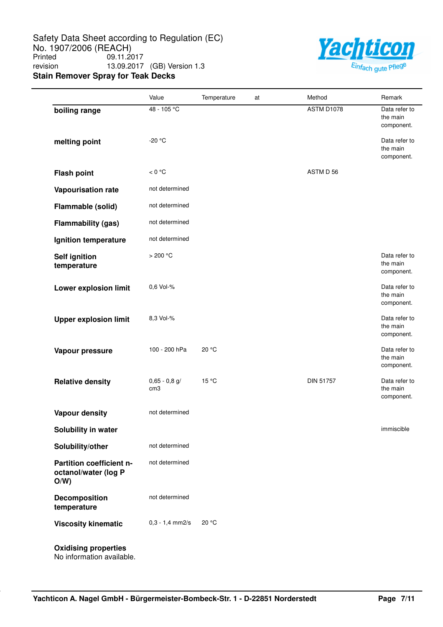Safety Data Sheet according to Regulation (EC) No. 1907/2006 (REACH)<br>Printed 09.11.20 09.11.2017 revision 13.09.2017 (GB) Version 1.3 **Stain Remover Spray for Teak Decks**



|                                                         | Value                              | Temperature | at | Method           | Remark                                  |
|---------------------------------------------------------|------------------------------------|-------------|----|------------------|-----------------------------------------|
| boiling range                                           | 48 - 105 °C                        |             |    | ASTM D1078       | Data refer to<br>the main<br>component. |
| melting point                                           | $-20 °C$                           |             |    |                  | Data refer to<br>the main<br>component. |
| <b>Flash point</b>                                      | < 0 °C                             |             |    | ASTM D 56        |                                         |
| Vapourisation rate                                      | not determined                     |             |    |                  |                                         |
| Flammable (solid)                                       | not determined                     |             |    |                  |                                         |
| <b>Flammability (gas)</b>                               | not determined                     |             |    |                  |                                         |
| Ignition temperature                                    | not determined                     |             |    |                  |                                         |
| <b>Self ignition</b><br>temperature                     | >200 °C                            |             |    |                  | Data refer to<br>the main<br>component. |
| Lower explosion limit                                   | 0,6 Vol-%                          |             |    |                  | Data refer to<br>the main<br>component. |
| <b>Upper explosion limit</b>                            | 8,3 Vol-%                          |             |    |                  | Data refer to<br>the main<br>component. |
| Vapour pressure                                         | 100 - 200 hPa                      | 20 °C       |    |                  | Data refer to<br>the main<br>component. |
| <b>Relative density</b>                                 | $0,65 - 0,8$ g/<br>cm <sub>3</sub> | 15 °C       |    | <b>DIN 51757</b> | Data refer to<br>the main<br>component. |
| <b>Vapour density</b>                                   | not determined                     |             |    |                  |                                         |
| Solubility in water                                     |                                    |             |    |                  | immiscible                              |
| Solubility/other                                        | not determined                     |             |    |                  |                                         |
| Partition coefficient n-<br>octanol/water (log P<br>O/W | not determined                     |             |    |                  |                                         |
| Decomposition<br>temperature                            | not determined                     |             |    |                  |                                         |
| <b>Viscosity kinematic</b>                              | $0,3 - 1,4$ mm2/s                  | 20 °C       |    |                  |                                         |
| <b>Oxidising properties</b>                             |                                    |             |    |                  |                                         |

No information available.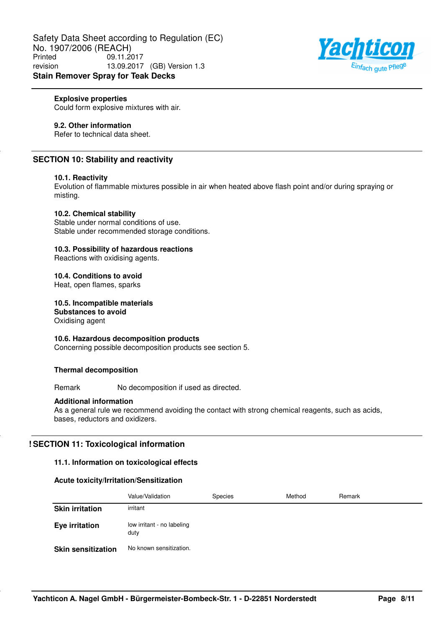

### **Explosive properties**

Could form explosive mixtures with air.

## **9.2. Other information**

Refer to technical data sheet.

# **SECTION 10: Stability and reactivity**

### **10.1. Reactivity**

Evolution of flammable mixtures possible in air when heated above flash point and/or during spraying or misting.

### **10.2. Chemical stability**

Stable under normal conditions of use. Stable under recommended storage conditions.

# **10.3. Possibility of hazardous reactions**

Reactions with oxidising agents.

### **10.4. Conditions to avoid**

Heat, open flames, sparks

**10.5. Incompatible materials Substances to avoid**

Oxidising agent

### **10.6. Hazardous decomposition products**

Concerning possible decomposition products see section 5.

### **Thermal decomposition**

Remark No decomposition if used as directed.

### **Additional information**

As a general rule we recommend avoiding the contact with strong chemical reagents, such as acids, bases, reductors and oxidizers.

## **! SECTION 11: Toxicological information**

## **11.1. Information on toxicological effects**

### **Acute toxicity/Irritation/Sensitization**

|                           | Value/Validation                   | <b>Species</b> | Method | Remark |
|---------------------------|------------------------------------|----------------|--------|--------|
| <b>Skin irritation</b>    | irritant                           |                |        |        |
| <b>Eye irritation</b>     | low irritant - no labeling<br>duty |                |        |        |
| <b>Skin sensitization</b> | No known sensitization.            |                |        |        |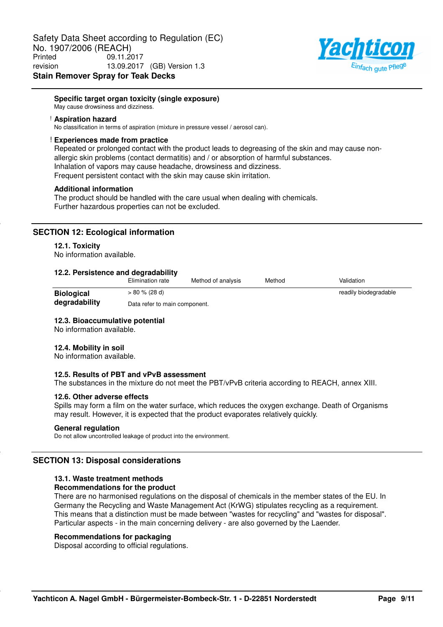

### **Specific target organ toxicity (single exposure)**

May cause drowsiness and dizziness.

#### ! **Aspiration hazard**

No classification in terms of aspiration (mixture in pressure vessel / aerosol can).

#### ! **Experiences made from practice**

Repeated or prolonged contact with the product leads to degreasing of the skin and may cause nonallergic skin problems (contact dermatitis) and / or absorption of harmful substances. Inhalation of vapors may cause headache, drowsiness and dizziness. Frequent persistent contact with the skin may cause skin irritation.

#### **Additional information**

The product should be handled with the care usual when dealing with chemicals. Further hazardous properties can not be excluded.

### **SECTION 12: Ecological information**

#### **12.1. Toxicity**

No information available.

### **12.2. Persistence and degradability**

|                   | Elimination rate              | Method of analysis | Method | Validation            |
|-------------------|-------------------------------|--------------------|--------|-----------------------|
| <b>Biological</b> | $> 80 \% (28 d)$              |                    |        | readily biodegradable |
| degradability     | Data refer to main component. |                    |        |                       |

#### **12.3. Bioaccumulative potential**

No information available.

### **12.4. Mobility in soil**

No information available.

### **12.5. Results of PBT and vPvB assessment**

The substances in the mixture do not meet the PBT/vPvB criteria according to REACH, annex XIII.

#### **12.6. Other adverse effects**

Spills may form a film on the water surface, which reduces the oxygen exchange. Death of Organisms may result. However, it is expected that the product evaporates relatively quickly.

#### **General regulation**

Do not allow uncontrolled leakage of product into the environment.

### **SECTION 13: Disposal considerations**

### **13.1. Waste treatment methods**

#### **Recommendations for the product**

There are no harmonised regulations on the disposal of chemicals in the member states of the EU. In Germany the Recycling and Waste Management Act (KrWG) stipulates recycling as a requirement. This means that a distinction must be made between "wastes for recycling" and "wastes for disposal". Particular aspects - in the main concerning delivery - are also governed by the Laender.

#### **Recommendations for packaging**

Disposal according to official regulations.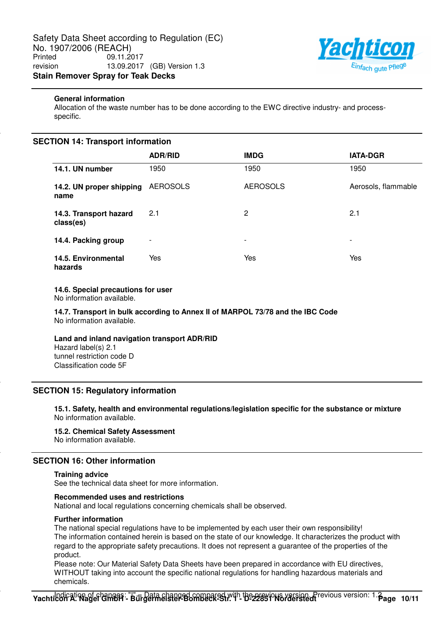

### **General information**

Allocation of the waste number has to be done according to the EWC directive industry- and processspecific.

## **SECTION 14: Transport information**

|                                     | <b>ADR/RID</b>           | <b>IMDG</b>     | <b>IATA-DGR</b>     |
|-------------------------------------|--------------------------|-----------------|---------------------|
| 14.1. UN number                     | 1950                     | 1950            | 1950                |
| 14.2. UN proper shipping<br>name    | <b>AEROSOLS</b>          | <b>AEROSOLS</b> | Aerosols, flammable |
| 14.3. Transport hazard<br>class(es) | 2.1                      | $\overline{2}$  | 2.1                 |
| 14.4. Packing group                 | $\overline{\phantom{a}}$ | ٠               | -                   |
| 14.5. Environmental<br>hazards      | Yes                      | Yes             | Yes                 |

### **14.6. Special precautions for user**

No information available.

**14.7. Transport in bulk according to Annex II of MARPOL 73/78 and the IBC Code** No information available.

## **Land and inland navigation transport ADR/RID**

Hazard label(s) 2.1 tunnel restriction code D Classification code 5F

## **SECTION 15: Regulatory information**

**15.1. Safety, health and environmental regulations/legislation specific for the substance or mixture** No information available.

## **15.2. Chemical Safety Assessment**

No information available.

# **SECTION 16: Other information**

### **Training advice**

See the technical data sheet for more information.

### **Recommended uses and restrictions**

National and local regulations concerning chemicals shall be observed.

### **Further information**

The national special regulations have to be implemented by each user their own responsibility! The information contained herein is based on the state of our knowledge. It characterizes the product with regard to the appropriate safety precautions. It does not represent a guarantee of the properties of the product.

Please note: Our Material Safety Data Sheets have been prepared in accordance with EU directives, WITHOUT taking into account the specific national regulations for handling hazardous materials and chemicals.